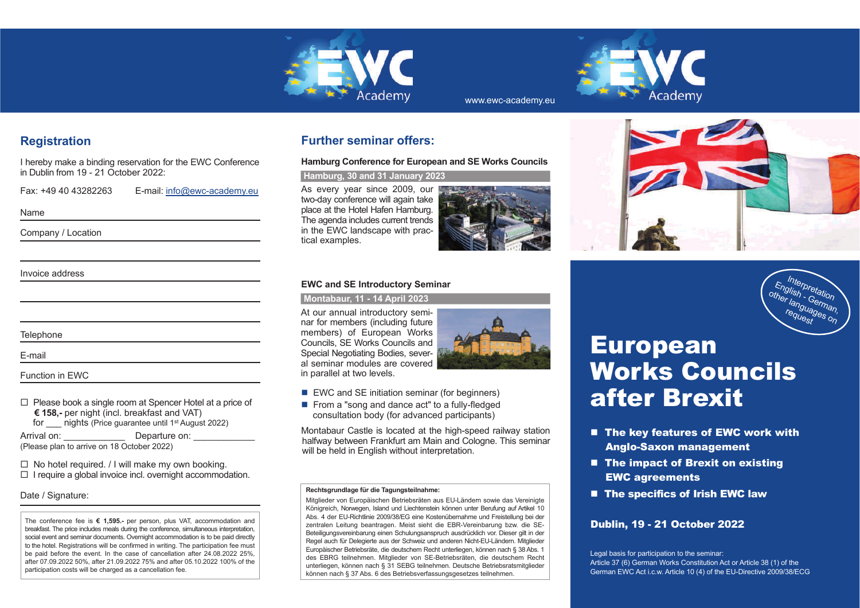

# **Registration**

I hereby make a binding reservation for the EWC Conference in Dublin from 19 - 21 October 2022:

Fax: +49 40 43282263 E-mail: info@ewc-academy.eu

Name

Company / Location

Invoice address

**Telephone** 

E-mail

Function in EWC

 $\Box$  Please book a single room at Spencer Hotel at a price of **! 158,-** per night (incl. breakfast and VAT)for \_\_\_ nights (Price guarantee until 1st August 2022)

Arrival on: Departure on: (Please plan to arrive on 18 October 2022)

 $\Box$  No hotel required. / I will make my own booking.  $\Box$  I require a global invoice incl. overnight accommodation.

### Date / Signature:

The conference fee is € 1,595.- per person, plus VAT, accommodation and breakfast. The price includes meals during the conference, simultaneous interpretation, social event and seminar documents. Overnight accommodation is to be paid directly to the hotel. Registrations will be confirmed in writing. The participation fee must be paid before the event. In the case of cancellation after 24.08.2022 25%, after 07.09.2022 50%, after 21.09.2022 75% and after 05.10.2022 100% of the participation costs will be charged as a cancellation fee.

# **Further seminar offers:**

**Hamburg Conference for European and SE Works Councils**

 **Hamburg, 30 and 31 January 2023**

As every year since 2009, our two-day conference will again take place at the Hotel Hafen Hamburg. The agenda includes current trends in the EWC landscape with practical examples.



www.ewc-academy.eu

### **EWC and SE Introductory Seminar**

 **Montabaur, 11 - 14 April 2023**

At our annual introductory semi nar for members (including future **pß0** Councils, SE Works Councils and Special Negotiating Bodies, sever al seminar modules are covered members) of European Works in parallel at two levels.



- EWC and SE initiation seminar (for beginners)
- From a "song and dance act" to a fully-fledged consultation body (for advanced participants)

Montabaur Castle is located at the high-speed railway station halfway between Frankfurt am Main and Cologne. This seminar will be held in English without interpretation.

#### **Rechtsgrundlage für die Tagungsteilnahme:**

Mitglieder von Europäischen Betriebsräten aus EU-Ländern sowie das Vereinigte Königreich, Norwegen, Island und Liechtenstein können unter Berufung auf Artikel 10 Abs. 4 der EU-Richtlinie 2009/38/EG eine Kostenübernahme und Freistellung bei der zentralen Leitung beantragen. Meist sieht die EBR-Vereinbarung bzw. die SE-Beteiligungsvereinbarung einen Schulungsanspruch ausdrücklich vor. Dieser gilt in der Regel auch für Delegierte aus der Schweiz und anderen Nicht-EU-Ländern. Mitglieder Europäischer Betriebsräte, die deutschem Recht unterliegen, können nach § 38 Abs. 1 des EBRG teilnehmen. Mitglieder von SE-Betriebsräten, die deutschem Recht unterliegen, können nach § 31 SEBG teilnehmen. Deutsche Betriebsratsmitglieder können nach § 37 Abs. 6 des Betriebsverfassungsgesetzes teilnehmen.





- The key features of EWC work with Anglo-Saxon management
- The impact of Brexit on existing EWC agreements
- The specifics of Irish EWC law

### Dublin, 19 - 21 October 2022

Legal basis for participation to the seminar: Article 37 (6) German Works Constitution Act or Article 38 (1) of the German EWC Act i.c.w. Article 10 (4) of the EU-Directive 2009/38/ECG